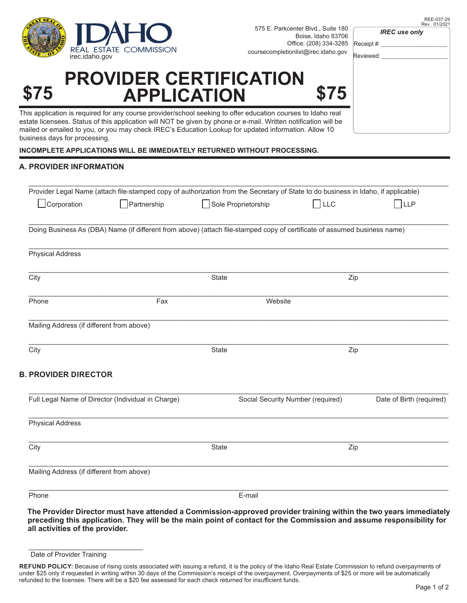

| 706 |               |
|-----|---------------|
| 285 | Receipt #: __ |
| gov | Reviewed:     |
|     |               |
| 5   |               |
| эl  |               |
| æ   |               |
|     |               |

*IREC use only*

## **PROVIDER CERTIFICATION \$75 APPLICATION \$75**

This application is required for any course provider/school seeking to offer education courses to Idaho real estate licensees. Status of this application will NOT be given by phone or e-mail. Written notification will b mailed or emailed to you, or you may check IREC's Education Lookup for updated information. Allow 10 business days for processing.

**INCOMPLETE APPLICATIONS WILL BE IMMEDIATELY RETURNED WITHOUT PROCESSING.**

## **A. PROVIDER INFORMATION**

|                                           | Provider Legal Name (attach file-stamped copy of authorization from the Secretary of State to do business in Idaho, if applicable) |                     |                                   |                          |
|-------------------------------------------|------------------------------------------------------------------------------------------------------------------------------------|---------------------|-----------------------------------|--------------------------|
| Corporation                               | Partnership                                                                                                                        | Sole Proprietorship | LLC                               | LLP                      |
|                                           | Doing Business As (DBA) Name (if different from above) (attach file-stamped copy of certificate of assumed business name)          |                     |                                   |                          |
| <b>Physical Address</b>                   |                                                                                                                                    |                     |                                   |                          |
| City                                      |                                                                                                                                    | <b>State</b>        | Zip                               |                          |
| Phone                                     | Website<br>Fax                                                                                                                     |                     |                                   |                          |
| Mailing Address (if different from above) |                                                                                                                                    |                     |                                   |                          |
| City                                      |                                                                                                                                    | State               | Zip                               |                          |
| <b>B. PROVIDER DIRECTOR</b>               |                                                                                                                                    |                     |                                   |                          |
|                                           | Full Legal Name of Director (Individual in Charge)                                                                                 |                     | Social Security Number (required) | Date of Birth (required) |
| <b>Physical Address</b>                   |                                                                                                                                    |                     |                                   |                          |
| City                                      |                                                                                                                                    | State               | Zip                               |                          |
| Mailing Address (if different from above) |                                                                                                                                    |                     |                                   |                          |
| Phone                                     |                                                                                                                                    | E-mail              |                                   |                          |

**The Provider Director must have attended a Commission-approved provider training within the two years immediately preceding this application. They will be the main point of contact for the Commission and assume responsibility for all activities of the provider.**

\_\_\_\_\_\_\_\_\_\_\_\_\_\_\_\_\_\_\_\_\_\_\_\_\_\_\_\_\_\_

Date of Provider Training

**REFUND POLICY:** Because of rising costs associated with issuing a refund, it is the policy of the Idaho Real Estate Commission to refund overpayments of under \$25 only if requested in writing within 30 days of the Commission's receipt of the overpayment. Overpayments of \$25 or more will be automatically refunded to the licensee. There will be a \$20 fee assessed for each check returned for insufficient funds.